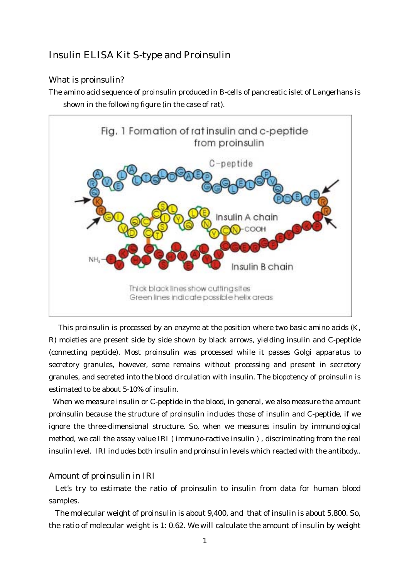# Insulin ELISA Kit S-type and Proinsulin

## What is proinsulin?

The amino acid sequence of proinsulin produced in B-cells of pancreatic islet of Langerhans is shown in the following figure (in the case of rat).



This proinsulin is processed by an enzyme at the position where two basic amino acids (K, R) moieties are present side by side shown by black arrows, yielding insulin and C-peptide (connecting peptide). Most proinsulin was processed while it passes Golgi apparatus to secretory granules, however, some remains without processing and present in secretory granules, and secreted into the blood circulation with insulin. The biopotency of proinsulin is estimated to be about 5-10% of insulin.

When we measure insulin or C-peptide in the blood, in general, we also measure the amount proinsulin because the structure of proinsulin includes those of insulin and C-peptide, if we ignore the three-dimensional structure. So, when we measures insulin by immunological method, we call the assay value IRI ( immuno-ractive insulin ) , discriminating from the real insulin level. IRI includes both insulin and proinsulin levels which reacted with the antibody..

### Amount of proinsulin in IRI

Let's try to estimate the ratio of proinsulin to insulin from data for human blood samples.

The molecular weight of proinsulin is about 9,400, and that of insulin is about 5,800. So, the ratio of molecular weight is 1: 0.62. We will calculate the amount of insulin by weight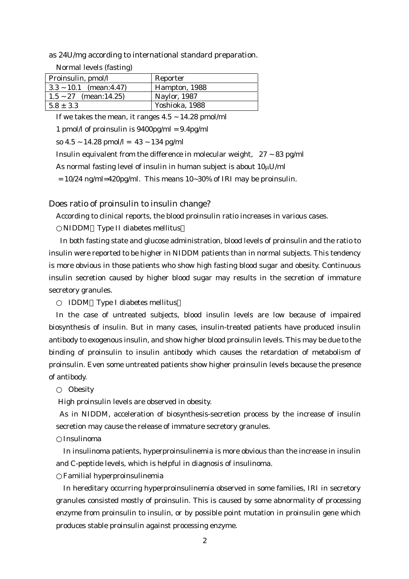as 24U/mg according to international standard preparation.

| Normal levels (fasting) |  |  |
|-------------------------|--|--|
|-------------------------|--|--|

| Proinsulin, pmol/l           | Reporter            |
|------------------------------|---------------------|
| $ 3.3 \sim 10.1$ (mean:4.47) | Hampton, 1988       |
| $1.5 \sim 27$ (mean:14.25)   | <b>Naylor, 1987</b> |
| $15.8 \pm 3.3$               | Yoshioka, 1988      |

If we takes the mean, it ranges  $4.5 \sim 14.28$  pmol/ml

1 pmol/l of proinsulin is  $9400 \text{pg/ml} = 9.4 \text{pg/ml}$ 

so  $4.5 \sim 14.28$  pmol/l =  $43 \sim 134$  pg/ml

Insulin equivalent from the difference in molecular weight,  $27 \sim 83$  pg/ml

As normal fasting level of insulin in human subject is about  $10 \mu U/ml$ 

 $= 10/24$  ng/ml=420pg/ml. This means 10~30% of IRI may be proinsulin.

#### Does ratio of proinsulin to insulin change?

According to clinical reports, the blood proinsulin ratio increases in various cases.

NIDDM Type II diabetes mellitus

In both fasting state and glucose administration, blood levels of proinsulin and the ratio to insulin were reported to be higher in NIDDM patients than in normal subjects. This tendency is more obvious in those patients who show high fasting blood sugar and obesity. Continuous insulin secretion caused by higher blood sugar may results in the secretion of immature secretory granules.

IDDM Type I diabetes mellitus

In the case of untreated subjects, blood insulin levels are low because of impaired biosynthesis of insulin. But in many cases, insulin-treated patients have produced insulin antibody to exogenous insulin, and show higher blood proinsulin levels. This may be due to the binding of proinsulin to insulin antibody which causes the retardation of metabolism of proinsulin. Even some untreated patients show higher proinsulin levels because the presence of antibody.

#### **Obesity**

High proinsulin levels are observed in obesity.

As in NIDDM, acceleration of biosynthesis-secretion process by the increase of insulin secretion may cause the release of immature secretory granules.

Insulinoma

In insulinoma patients, hyperproinsulinemia is more obvious than the increase in insulin and C-peptide levels, which is helpful in diagnosis of insulinoma.

Familial hyperproinsulinemia

In hereditary occurring hyperproinsulinemia observed in some families, IRI in secretory granules consisted mostly of proinsulin. This is caused by some abnormality of processing enzyme from proinsulin to insulin, or by possible point mutation in proinsulin gene which produces stable proinsulin against processing enzyme.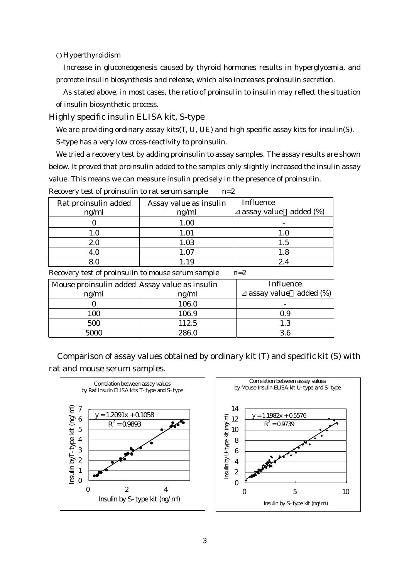Hyperthyroidism

Increase in gluconeogenesis caused by thyroid hormones results in hyperglycemia, and promote insulin biosynthesis and release, which also increases proinsulin secretion.

As stated above, in most cases, the ratio of proinsulin to insulin may reflect the situation of insulin biosynthetic process.

Highly specific insulin ELISA kit, S-type

We are providing ordinary assay kits(T, U, UE) and high specific assay kits for insulin(S).

S-type has a very low cross-reactivity to proinsulin.

We tried a recovery test by adding proinsulin to assay samples. The assay results are shown below. It proved that proinsulin added to the samples only slightly increased the insulin assay value. This means we can measure insulin precisely in the presence of proinsulin.

| Rat proinsulin added<br>ng/ml | Assay value as insulin<br>ng/ml | <b>Influence</b><br>assay value added (%) |
|-------------------------------|---------------------------------|-------------------------------------------|
|                               | 1.00                            |                                           |
| $1.0\,$                       | 1.01                            | 1.0                                       |
| 2.0                           | 1.03                            | $1.5\,$                                   |
| 4.0                           | 1.07                            | $1.8\,$                                   |
|                               | .19                             | 2.4                                       |

Recovery test of proinsulin to rat serum sample n=2

Recovery test of proinsulin to mouse serum sample n=2

| Mouse proinsulin added Assay value as insulin |       | <b>Influence</b>      |
|-----------------------------------------------|-------|-----------------------|
| ng/ml                                         | ng/ml | assay value added (%) |
|                                               | 106.0 |                       |
| 100                                           | 106.9 | 0.9                   |
| 500                                           | 112.5 | 1.3                   |
| 5000                                          | 286.0 | 3.6                   |

Comparison of assay values obtained by ordinary kit (T) and specific kit (S) with rat and mouse serum samples.